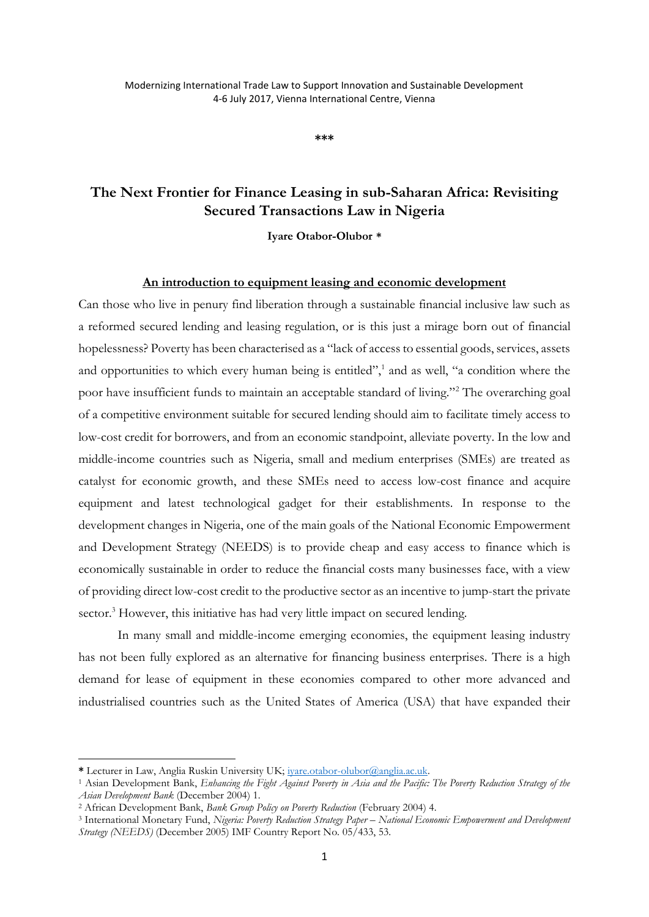**\*\*\***

# **The Next Frontier for Finance Leasing in sub-Saharan Africa: Revisiting Secured Transactions Law in Nigeria**

**Iyare Otabor-Olubor \***

## **An introduction to equipment leasing and economic development**

Can those who live in penury find liberation through a sustainable financial inclusive law such as a reformed secured lending and leasing regulation, or is this just a mirage born out of financial hopelessness? Poverty has been characterised as a "lack of access to essential goods, services, assets and opportunities to which every human being is entitled",<sup>1</sup> and as well, "a condition where the poor have insufficient funds to maintain an acceptable standard of living."<sup>2</sup> The overarching goal of a competitive environment suitable for secured lending should aim to facilitate timely access to low-cost credit for borrowers, and from an economic standpoint, alleviate poverty. In the low and middle-income countries such as Nigeria, small and medium enterprises (SMEs) are treated as catalyst for economic growth, and these SMEs need to access low-cost finance and acquire equipment and latest technological gadget for their establishments. In response to the development changes in Nigeria, one of the main goals of the National Economic Empowerment and Development Strategy (NEEDS) is to provide cheap and easy access to finance which is economically sustainable in order to reduce the financial costs many businesses face, with a view of providing direct low-cost credit to the productive sector as an incentive to jump-start the private sector.<sup>3</sup> However, this initiative has had very little impact on secured lending.

In many small and middle-income emerging economies, the equipment leasing industry has not been fully explored as an alternative for financing business enterprises. There is a high demand for lease of equipment in these economies compared to other more advanced and industrialised countries such as the United States of America (USA) that have expanded their

**<sup>\*</sup>** Lecturer in Law, Anglia Ruskin University UK; [iyare.otabor-olubor@anglia.ac.uk.](mailto:iyare.otabor-olubor@anglia.ac.uk)

<sup>1</sup> Asian Development Bank, *Enhancing the Fight Against Poverty in Asia and the Pacific: The Poverty Reduction Strategy of the Asian Development Bank* (December 2004) 1.

<sup>2</sup> African Development Bank, *Bank Group Policy on Poverty Reduction* (February 2004) 4.

<sup>3</sup> International Monetary Fund, *Nigeria: Poverty Reduction Strategy Paper – National Economic Empowerment and Development Strategy (NEEDS)* (December 2005) IMF Country Report No. 05/433, 53.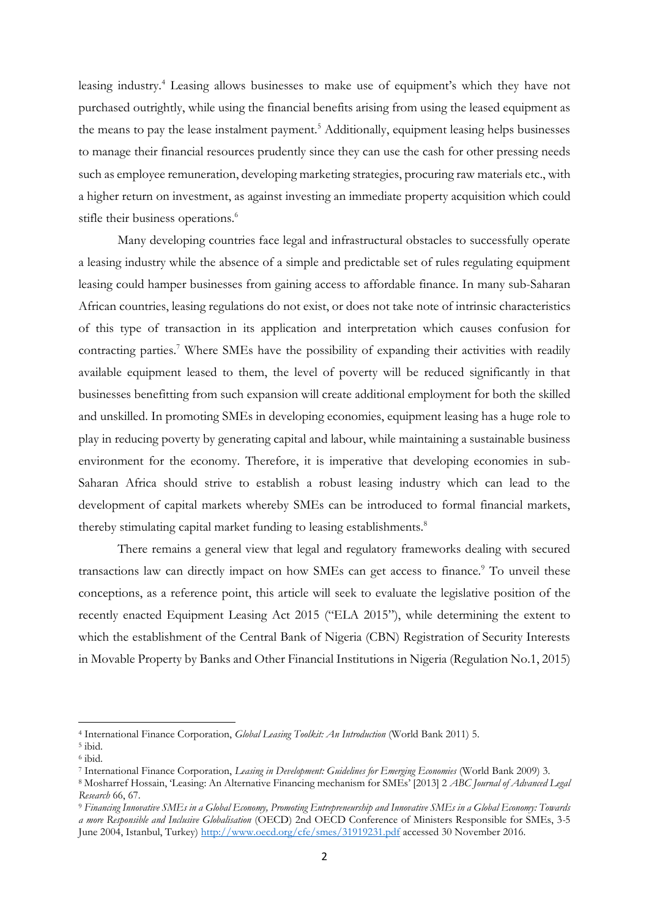leasing industry.<sup>4</sup> Leasing allows businesses to make use of equipment's which they have not purchased outrightly, while using the financial benefits arising from using the leased equipment as the means to pay the lease instalment payment.<sup>5</sup> Additionally, equipment leasing helps businesses to manage their financial resources prudently since they can use the cash for other pressing needs such as employee remuneration, developing marketing strategies, procuring raw materials etc., with a higher return on investment, as against investing an immediate property acquisition which could stifle their business operations.<sup>6</sup>

Many developing countries face legal and infrastructural obstacles to successfully operate a leasing industry while the absence of a simple and predictable set of rules regulating equipment leasing could hamper businesses from gaining access to affordable finance. In many sub-Saharan African countries, leasing regulations do not exist, or does not take note of intrinsic characteristics of this type of transaction in its application and interpretation which causes confusion for contracting parties.<sup>7</sup> Where SMEs have the possibility of expanding their activities with readily available equipment leased to them, the level of poverty will be reduced significantly in that businesses benefitting from such expansion will create additional employment for both the skilled and unskilled. In promoting SMEs in developing economies, equipment leasing has a huge role to play in reducing poverty by generating capital and labour, while maintaining a sustainable business environment for the economy. Therefore, it is imperative that developing economies in sub-Saharan Africa should strive to establish a robust leasing industry which can lead to the development of capital markets whereby SMEs can be introduced to formal financial markets, thereby stimulating capital market funding to leasing establishments.<sup>8</sup>

There remains a general view that legal and regulatory frameworks dealing with secured transactions law can directly impact on how SMEs can get access to finance.<sup>9</sup> To unveil these conceptions, as a reference point, this article will seek to evaluate the legislative position of the recently enacted Equipment Leasing Act 2015 ("ELA 2015"), while determining the extent to which the establishment of the Central Bank of Nigeria (CBN) Registration of Security Interests in Movable Property by Banks and Other Financial Institutions in Nigeria (Regulation No.1, 2015)

<sup>4</sup> International Finance Corporation, *Global Leasing Toolkit: An Introduction* (World Bank 2011) 5.

<sup>5</sup> ibid.

<sup>6</sup> ibid.

<sup>7</sup> International Finance Corporation, *Leasing in Development: Guidelines for Emerging Economies* (World Bank 2009) 3.

<sup>8</sup> Mosharref Hossain, 'Leasing: An Alternative Financing mechanism for SMEs' [2013] 2 *ABC Journal of Advanced Legal Research* 66, 67.

<sup>9</sup> *Financing Innovative SMEs in a Global Economy, Promoting Entrepreneurship and Innovative SMEs in a Global Economy: Towards a more Responsible and Inclusive Globalisation* (OECD) 2nd OECD Conference of Ministers Responsible for SMEs, 3*-*5 June 2004, Istanbul, Turkey)<http://www.oecd.org/cfe/smes/31919231.pdf> accessed 30 November 2016.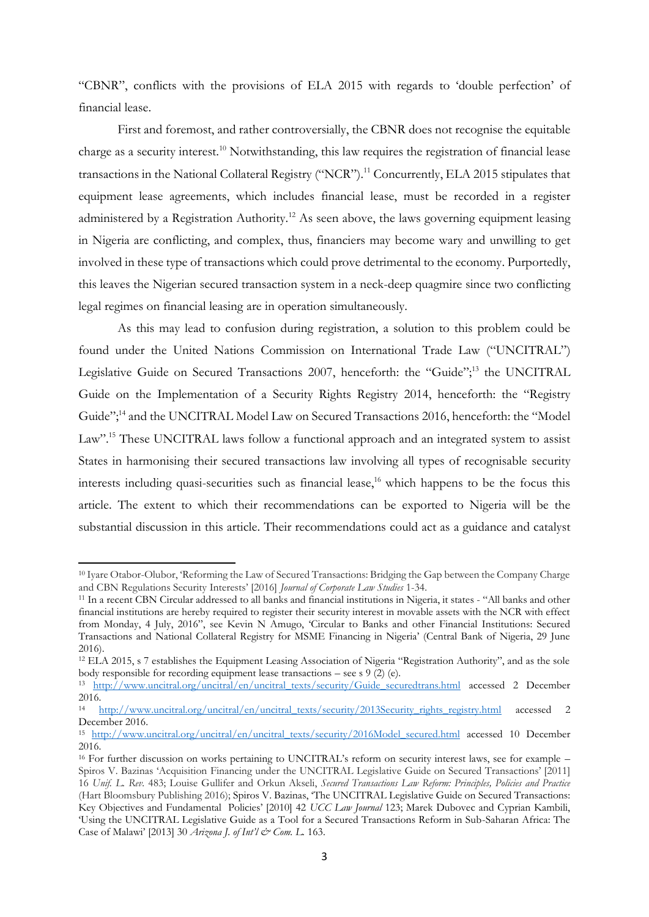"CBNR", conflicts with the provisions of ELA 2015 with regards to 'double perfection' of financial lease.

First and foremost, and rather controversially, the CBNR does not recognise the equitable charge as a security interest.<sup>10</sup> Notwithstanding, this law requires the registration of financial lease transactions in the National Collateral Registry ("NCR").<sup>11</sup> Concurrently, ELA 2015 stipulates that equipment lease agreements, which includes financial lease, must be recorded in a register administered by a Registration Authority.<sup>12</sup> As seen above, the laws governing equipment leasing in Nigeria are conflicting, and complex, thus, financiers may become wary and unwilling to get involved in these type of transactions which could prove detrimental to the economy. Purportedly, this leaves the Nigerian secured transaction system in a neck-deep quagmire since two conflicting legal regimes on financial leasing are in operation simultaneously.

As this may lead to confusion during registration, a solution to this problem could be found under the United Nations Commission on International Trade Law ("UNCITRAL") Legislative Guide on Secured Transactions 2007, henceforth: the "Guide";<sup>13</sup> the UNCITRAL Guide on the Implementation of a Security Rights Registry 2014, henceforth: the "Registry Guide";<sup>14</sup> and the UNCITRAL Model Law on Secured Transactions 2016, henceforth: the "Model" Law".<sup>15</sup> These UNCITRAL laws follow a functional approach and an integrated system to assist States in harmonising their secured transactions law involving all types of recognisable security interests including quasi-securities such as financial lease, <sup>16</sup> which happens to be the focus this article. The extent to which their recommendations can be exported to Nigeria will be the substantial discussion in this article. Their recommendations could act as a guidance and catalyst

**.** 

<sup>10</sup> Iyare Otabor-Olubor, 'Reforming the Law of Secured Transactions: Bridging the Gap between the Company Charge and CBN Regulations Security Interests' [2016] *Journal of Corporate Law Studies* 1-34.

<sup>11</sup> In a recent CBN Circular addressed to all banks and financial institutions in Nigeria, it states - "All banks and other financial institutions are hereby required to register their security interest in movable assets with the NCR with effect from Monday, 4 July, 2016", see Kevin N Amugo, 'Circular to Banks and other Financial Institutions: Secured Transactions and National Collateral Registry for MSME Financing in Nigeria' (Central Bank of Nigeria, 29 June 2016).

<sup>12</sup> ELA 2015, s 7 establishes the Equipment Leasing Association of Nigeria "Registration Authority", and as the sole body responsible for recording equipment lease transactions – see s  $9(2)$  (e).

<sup>13</sup> [http://www.uncitral.org/uncitral/en/uncitral\\_texts/security/Guide\\_securedtrans.html](http://www.uncitral.org/uncitral/en/uncitral_texts/security/Guide_securedtrans.html) accessed 2 December 2016.

<sup>&</sup>lt;sup>14</sup> [http://www.uncitral.org/uncitral/en/uncitral\\_texts/security/2013Security\\_rights\\_registry.html](http://www.uncitral.org/uncitral/en/uncitral_texts/security/2013Security_rights_registry.html) accessed 2 December 2016.

<sup>15</sup> [http://www.uncitral.org/uncitral/en/uncitral\\_texts/security/2016Model\\_secured.html](http://www.uncitral.org/uncitral/en/uncitral_texts/security/2016Model_secured.html) accessed 10 December 2016.

<sup>16</sup> For further discussion on works pertaining to UNCITRAL's reform on security interest laws, see for example – Spiros V. Bazinas 'Acquisition Financing under the UNCITRAL Legislative Guide on Secured Transactions' [2011] 16 *Unif. L. Rev.* 483; Louise Gullifer and Orkun Akseli, *Secured Transactions Law Reform: Principles, Policies and Practice* (Hart Bloomsbury Publishing 2016); Spiros V. Bazinas, 'The UNCITRAL Legislative Guide on Secured Transactions: Key Objectives and Fundamental Policies' [2010] 42 *UCC Law Journal* 123; Marek Dubovec and Cyprian Kambili, 'Using the UNCITRAL Legislative Guide as a Tool for a Secured Transactions Reform in Sub-Saharan Africa: The Case of Malawi' [2013] 30 *Arizona J. of Int'l & Com. L.* 163.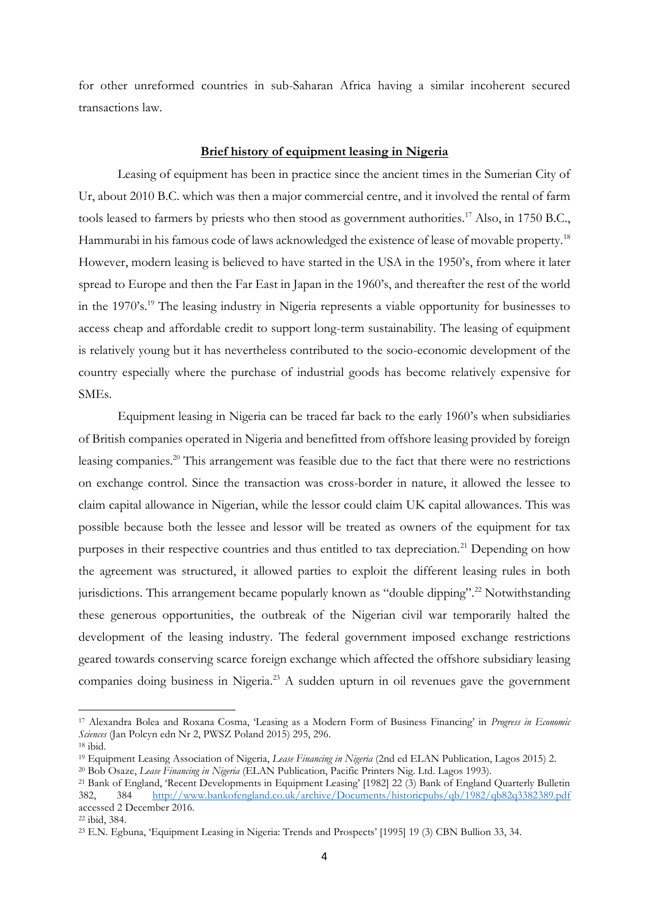for other unreformed countries in sub-Saharan Africa having a similar incoherent secured transactions law.

## **Brief history of equipment leasing in Nigeria**

Leasing of equipment has been in practice since the ancient times in the Sumerian City of Ur, about 2010 B.C. which was then a major commercial centre, and it involved the rental of farm tools leased to farmers by priests who then stood as government authorities.<sup>17</sup> Also, in 1750 B.C., Hammurabi in his famous code of laws acknowledged the existence of lease of movable property.<sup>18</sup> However, modern leasing is believed to have started in the USA in the 1950's, from where it later spread to Europe and then the Far East in Japan in the 1960's, and thereafter the rest of the world in the 1970's.<sup>19</sup> The leasing industry in Nigeria represents a viable opportunity for businesses to access cheap and affordable credit to support long-term sustainability. The leasing of equipment is relatively young but it has nevertheless contributed to the socio-economic development of the country especially where the purchase of industrial goods has become relatively expensive for SMEs.

Equipment leasing in Nigeria can be traced far back to the early 1960's when subsidiaries of British companies operated in Nigeria and benefitted from offshore leasing provided by foreign leasing companies.<sup>20</sup> This arrangement was feasible due to the fact that there were no restrictions on exchange control. Since the transaction was cross-border in nature, it allowed the lessee to claim capital allowance in Nigerian, while the lessor could claim UK capital allowances. This was possible because both the lessee and lessor will be treated as owners of the equipment for tax purposes in their respective countries and thus entitled to tax depreciation.<sup>21</sup> Depending on how the agreement was structured, it allowed parties to exploit the different leasing rules in both jurisdictions. This arrangement became popularly known as "double dipping".<sup>22</sup> Notwithstanding these generous opportunities, the outbreak of the Nigerian civil war temporarily halted the development of the leasing industry. The federal government imposed exchange restrictions geared towards conserving scarce foreign exchange which affected the offshore subsidiary leasing companies doing business in Nigeria. <sup>23</sup> A sudden upturn in oil revenues gave the government

<sup>17</sup> Alexandra Bolea and Roxana Cosma, 'Leasing as a Modern Form of Business Financing' in *Progress in Economic Sciences* (Jan Polcyn edn Nr 2, PWSZ Poland 2015) 295, 296.

<sup>18</sup> ibid.

<sup>19</sup> Equipment Leasing Association of Nigeria, *Lease Financing in Nigeria* (2nd ed ELAN Publication, Lagos 2015) 2.

<sup>20</sup> Bob Osaze, *Lease Financing in Nigeria* (ELAN Publication, Pacific Printers Nig. Ltd. Lagos 1993).

<sup>21</sup> Bank of England, 'Recent Developments in Equipment Leasing' [1982] 22 (3) Bank of England Quarterly Bulletin 382, 384 <http://www.bankofengland.co.uk/archive/Documents/historicpubs/qb/1982/qb82q3382389.pdf> accessed 2 December 2016.

<sup>22</sup> ibid, 384.

<sup>23</sup> E.N. Egbuna, 'Equipment Leasing in Nigeria: Trends and Prospects' [1995] 19 (3) CBN Bullion 33, 34.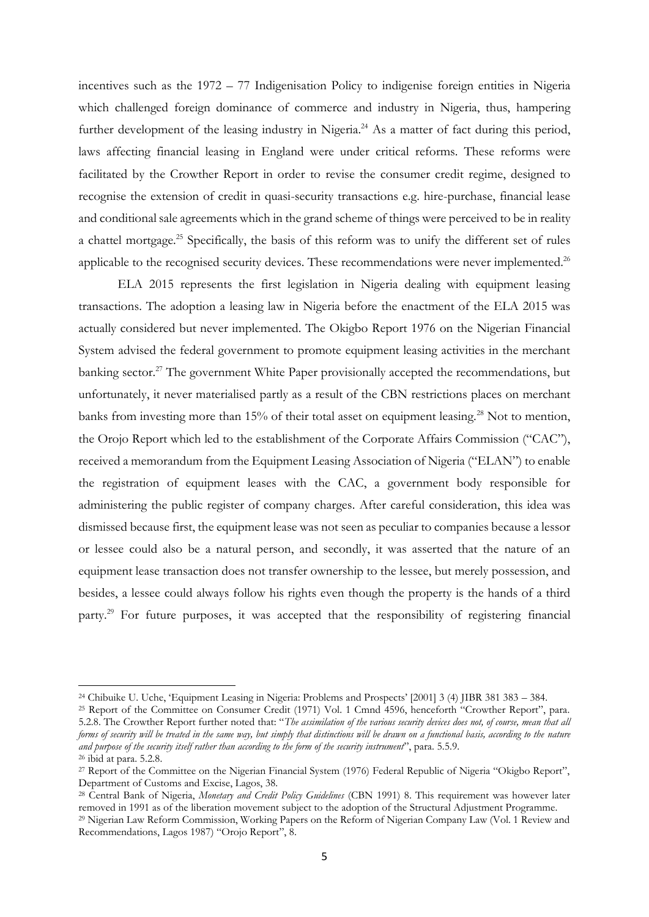incentives such as the 1972 – 77 Indigenisation Policy to indigenise foreign entities in Nigeria which challenged foreign dominance of commerce and industry in Nigeria, thus, hampering further development of the leasing industry in Nigeria.<sup>24</sup> As a matter of fact during this period, laws affecting financial leasing in England were under critical reforms. These reforms were facilitated by the Crowther Report in order to revise the consumer credit regime, designed to recognise the extension of credit in quasi-security transactions e.g. hire-purchase, financial lease and conditional sale agreements which in the grand scheme of things were perceived to be in reality a chattel mortgage.<sup>25</sup> Specifically, the basis of this reform was to unify the different set of rules applicable to the recognised security devices. These recommendations were never implemented.<sup>26</sup>

ELA 2015 represents the first legislation in Nigeria dealing with equipment leasing transactions. The adoption a leasing law in Nigeria before the enactment of the ELA 2015 was actually considered but never implemented. The Okigbo Report 1976 on the Nigerian Financial System advised the federal government to promote equipment leasing activities in the merchant banking sector.<sup>27</sup> The government White Paper provisionally accepted the recommendations, but unfortunately, it never materialised partly as a result of the CBN restrictions places on merchant banks from investing more than 15% of their total asset on equipment leasing.<sup>28</sup> Not to mention, the Orojo Report which led to the establishment of the Corporate Affairs Commission ("CAC"), received a memorandum from the Equipment Leasing Association of Nigeria ("ELAN") to enable the registration of equipment leases with the CAC, a government body responsible for administering the public register of company charges. After careful consideration, this idea was dismissed because first, the equipment lease was not seen as peculiar to companies because a lessor or lessee could also be a natural person, and secondly, it was asserted that the nature of an equipment lease transaction does not transfer ownership to the lessee, but merely possession, and besides, a lessee could always follow his rights even though the property is the hands of a third party.<sup>29</sup> For future purposes, it was accepted that the responsibility of registering financial

<sup>24</sup> Chibuike U. Uche, 'Equipment Leasing in Nigeria: Problems and Prospects' [2001] 3 (4) JIBR 381 383 – 384.

<sup>&</sup>lt;sup>25</sup> Report of the Committee on Consumer Credit (1971) Vol. 1 Cmnd 4596, henceforth "Crowther Report", para. 5.2.8. The Crowther Report further noted that: "*The assimilation of the various security devices does not, of course, mean that all forms of security will be treated in the same way, but simply that distinctions will be drawn on a functional basis, according to the nature and purpose of the security itself rather than according to the form of the security instrument*", para. 5.5.9.  $26$  ibid at para. 5.2.8.

<sup>&</sup>lt;sup>27</sup> Report of the Committee on the Nigerian Financial System (1976) Federal Republic of Nigeria "Okigbo Report", Department of Customs and Excise, Lagos, 38.

<sup>28</sup> Central Bank of Nigeria, *Monetary and Credit Policy Guidelines* (CBN 1991) 8. This requirement was however later removed in 1991 as of the liberation movement subject to the adoption of the Structural Adjustment Programme.

<sup>29</sup> Nigerian Law Reform Commission, Working Papers on the Reform of Nigerian Company Law (Vol. 1 Review and Recommendations, Lagos 1987) "Orojo Report", 8.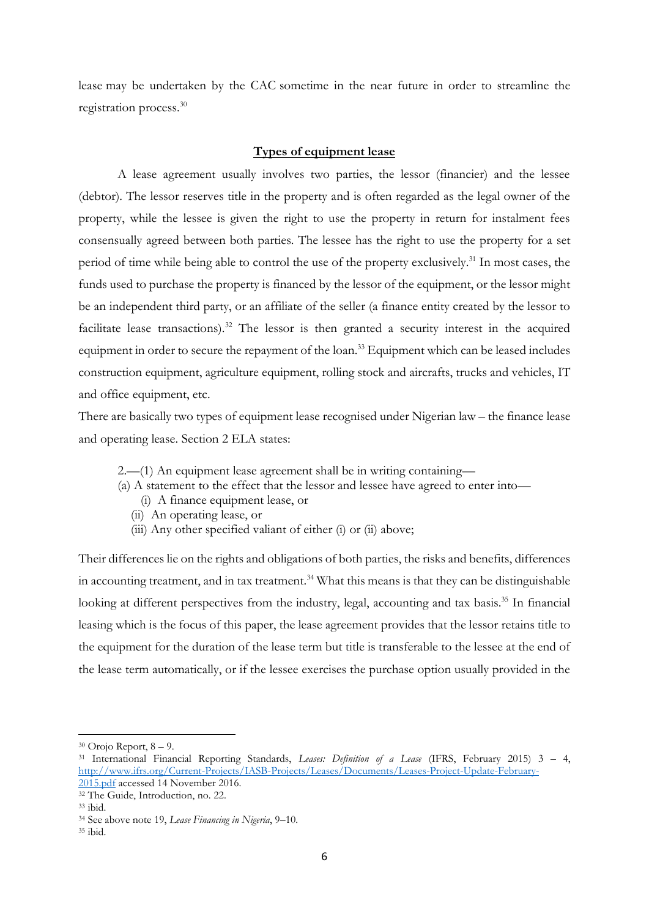lease may be undertaken by the CAC sometime in the near future in order to streamline the registration process. 30

# **Types of equipment lease**

A lease agreement usually involves two parties, the lessor (financier) and the lessee (debtor). The lessor reserves title in the property and is often regarded as the legal owner of the property, while the lessee is given the right to use the property in return for instalment fees consensually agreed between both parties. The lessee has the right to use the property for a set period of time while being able to control the use of the property exclusively.<sup>31</sup> In most cases, the funds used to purchase the property is financed by the lessor of the equipment, or the lessor might be an independent third party, or an affiliate of the seller (a finance entity created by the lessor to facilitate lease transactions).<sup>32</sup> The lessor is then granted a security interest in the acquired equipment in order to secure the repayment of the loan. <sup>33</sup> Equipment which can be leased includes construction equipment, agriculture equipment, rolling stock and aircrafts, trucks and vehicles, IT and office equipment, etc.

There are basically two types of equipment lease recognised under Nigerian law – the finance lease and operating lease. Section 2 ELA states:

- 2.—(1) An equipment lease agreement shall be in writing containing—
- (a) A statement to the effect that the lessor and lessee have agreed to enter into—
	- (i) A finance equipment lease, or
	- (ii) An operating lease, or
	- (iii) Any other specified valiant of either (i) or (ii) above;

Their differences lie on the rights and obligations of both parties, the risks and benefits, differences in accounting treatment, and in tax treatment.<sup>34</sup> What this means is that they can be distinguishable looking at different perspectives from the industry, legal, accounting and tax basis.<sup>35</sup> In financial leasing which is the focus of this paper, the lease agreement provides that the lessor retains title to the equipment for the duration of the lease term but title is transferable to the lessee at the end of the lease term automatically, or if the lessee exercises the purchase option usually provided in the

 $30$  Orojo Report,  $8 - 9$ .

<sup>31</sup> International Financial Reporting Standards, *Leases: Definition of a Lease* (IFRS, February 2015) 3 – 4, [http://www.ifrs.org/Current-Projects/IASB-Projects/Leases/Documents/Leases-Project-Update-February-](http://www.ifrs.org/Current-Projects/IASB-Projects/Leases/Documents/Leases-Project-Update-February-2015.pdf)[2015.pdf](http://www.ifrs.org/Current-Projects/IASB-Projects/Leases/Documents/Leases-Project-Update-February-2015.pdf) accessed 14 November 2016.

<sup>&</sup>lt;sup>32</sup> The Guide, Introduction, no. 22.

<sup>33</sup> ibid.

<sup>34</sup> See above note 19, *Lease Financing in Nigeria*, 9–10.

<sup>35</sup> ibid.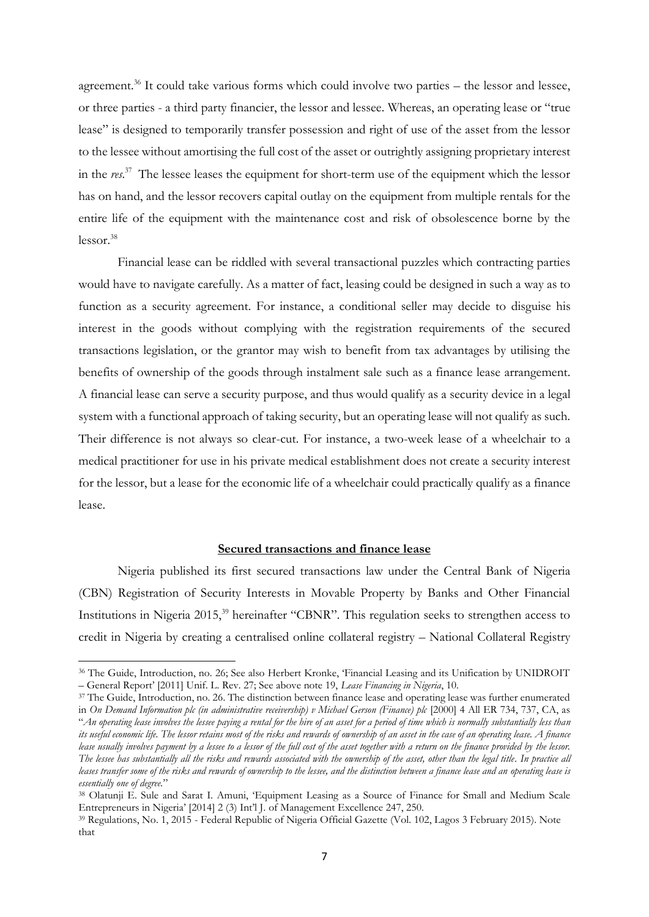agreement.<sup>36</sup> It could take various forms which could involve two parties – the lessor and lessee, or three parties - a third party financier, the lessor and lessee. Whereas, an operating lease or "true lease" is designed to temporarily transfer possession and right of use of the asset from the lessor to the lessee without amortising the full cost of the asset or outrightly assigning proprietary interest in the *res*. 37 The lessee leases the equipment for short-term use of the equipment which the lessor has on hand, and the lessor recovers capital outlay on the equipment from multiple rentals for the entire life of the equipment with the maintenance cost and risk of obsolescence borne by the  $lessor.<sup>38</sup>$ 

Financial lease can be riddled with several transactional puzzles which contracting parties would have to navigate carefully. As a matter of fact, leasing could be designed in such a way as to function as a security agreement. For instance, a conditional seller may decide to disguise his interest in the goods without complying with the registration requirements of the secured transactions legislation, or the grantor may wish to benefit from tax advantages by utilising the benefits of ownership of the goods through instalment sale such as a finance lease arrangement. A financial lease can serve a security purpose, and thus would qualify as a security device in a legal system with a functional approach of taking security, but an operating lease will not qualify as such. Their difference is not always so clear-cut. For instance, a two-week lease of a wheelchair to a medical practitioner for use in his private medical establishment does not create a security interest for the lessor, but a lease for the economic life of a wheelchair could practically qualify as a finance lease.

#### **Secured transactions and finance lease**

Nigeria published its first secured transactions law under the Central Bank of Nigeria (CBN) Registration of Security Interests in Movable Property by Banks and Other Financial Institutions in Nigeria 2015,<sup>39</sup> hereinafter "CBNR". This regulation seeks to strengthen access to credit in Nigeria by creating a centralised online collateral registry – National Collateral Registry

**.** 

<sup>36</sup> The Guide, Introduction, no. 26; See also Herbert Kronke, 'Financial Leasing and its Unification by UNIDROIT – General Report' [2011] Unif. L. Rev. 27; See above note 19, *Lease Financing in Nigeria*, 10.

<sup>37</sup> The Guide, Introduction, no. 26. The distinction between finance lease and operating lease was further enumerated in *On Demand Information plc (in administrative receivership) v Michael Gerson (Finance) plc* [2000] 4 All ER 734, 737, CA, as "*An operating lease involves the lessee paying a rental for the hire of an asset for a period of time which is normally substantially less than its useful economic life. The lessor retains most of the risks and rewards of ownership of an asset in the case of an operating lease. A finance*  lease usually involves payment by a lessee to a lessor of the full cost of the asset together with a return on the finance provided by the lessor. *The lessee has substantially all the risks and rewards associated with the ownership of the asset, other than the legal title. In practice all leases transfer some of the risks and rewards of ownership to the lessee, and the distinction between a finance lease and an operating lease is essentially one of degree.*"

<sup>38</sup> Olatunji E. Sule and Sarat I. Amuni, 'Equipment Leasing as a Source of Finance for Small and Medium Scale Entrepreneurs in Nigeria' [2014] 2 (3) Int'l J. of Management Excellence 247, 250.

<sup>39</sup> Regulations, No. 1, 2015 - Federal Republic of Nigeria Official Gazette (Vol. 102, Lagos 3 February 2015). Note that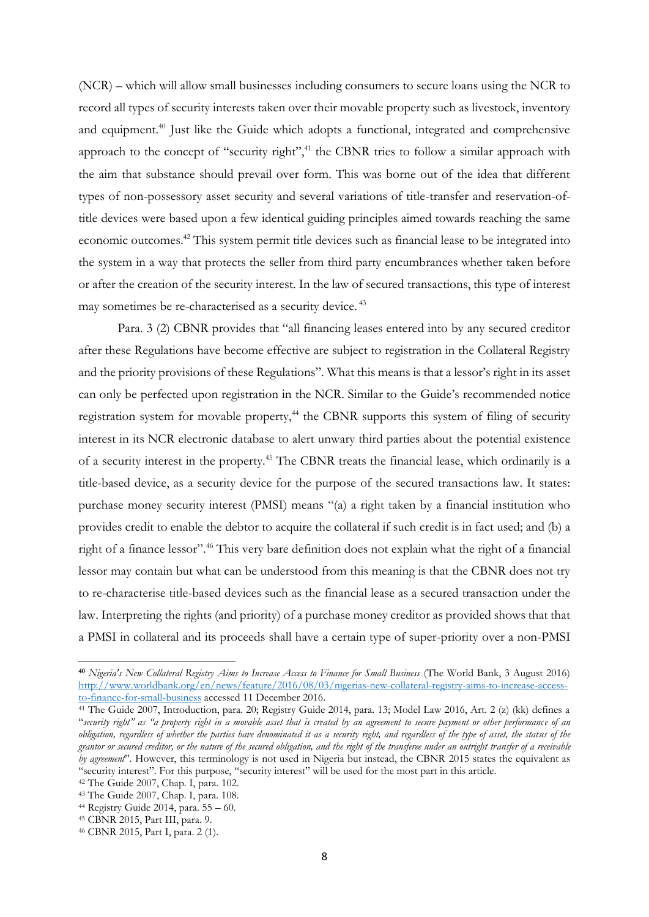(NCR) – which will allow small businesses including consumers to secure loans using the NCR to record all types of security interests taken over their movable property such as livestock, inventory and equipment. <sup>40</sup> Just like the Guide which adopts a functional, integrated and comprehensive approach to the concept of "security right",<sup>41</sup> the CBNR tries to follow a similar approach with the aim that substance should prevail over form. This was borne out of the idea that different types of non-possessory asset security and several variations of title-transfer and reservation-oftitle devices were based upon a few identical guiding principles aimed towards reaching the same economic outcomes.<sup>42</sup> This system permit title devices such as financial lease to be integrated into the system in a way that protects the seller from third party encumbrances whether taken before or after the creation of the security interest. In the law of secured transactions, this type of interest may sometimes be re-characterised as a security device.<sup>43</sup>

Para. 3 (2) CBNR provides that "all financing leases entered into by any secured creditor after these Regulations have become effective are subject to registration in the Collateral Registry and the priority provisions of these Regulations". What this means is that a lessor's right in its asset can only be perfected upon registration in the NCR. Similar to the Guide's recommended notice registration system for movable property,<sup>44</sup> the CBNR supports this system of filing of security interest in its NCR electronic database to alert unwary third parties about the potential existence of a security interest in the property.<sup>45</sup> The CBNR treats the financial lease, which ordinarily is a title-based device, as a security device for the purpose of the secured transactions law. It states: purchase money security interest (PMSI) means "(a) a right taken by a financial institution who provides credit to enable the debtor to acquire the collateral if such credit is in fact used; and (b) a right of a finance lessor".<sup>46</sup> This very bare definition does not explain what the right of a financial lessor may contain but what can be understood from this meaning is that the CBNR does not try to re-characterise title-based devices such as the financial lease as a secured transaction under the law. Interpreting the rights (and priority) of a purchase money creditor as provided shows that that a PMSI in collateral and its proceeds shall have a certain type of super-priority over a non-PMSI

**.** 

**<sup>40</sup>** *Nigeria's New Collateral Registry Aims to Increase Access to Finance for Small Business* (The World Bank, 3 August 2016) [http://www.worldbank.org/en/news/feature/2016/08/03/nigerias-new-collateral-registry-aims-to-increase-access](http://www.worldbank.org/en/news/feature/2016/08/03/nigerias-new-collateral-registry-aims-to-increase-access-to-finance-for-small-business)[to-finance-for-small-business](http://www.worldbank.org/en/news/feature/2016/08/03/nigerias-new-collateral-registry-aims-to-increase-access-to-finance-for-small-business) accessed 11 December 2016.

<sup>41</sup> The Guide 2007, Introduction, para. 20; Registry Guide 2014, para. 13; Model Law 2016, Art. 2 (z) (kk) defines a "*security right" as "a property right in a movable asset that is created by an agreement to secure payment or other performance of an obligation, regardless of whether the parties have denominated it as a security right, and regardless of the type of asset, the status of the grantor or secured creditor, or the nature of the secured obligation, and the right of the transferee under an outright transfer of a receivable by agreement*". However, this terminology is not used in Nigeria but instead, the CBNR 2015 states the equivalent as "security interest". For this purpose, "security interest" will be used for the most part in this article.

<sup>42</sup> The Guide 2007, Chap. I, para. 102.

<sup>43</sup> The Guide 2007, Chap. I, para. 108.

<sup>&</sup>lt;sup>44</sup> Registry Guide 2014, para.  $55 - 60$ .

<sup>45</sup> CBNR 2015, Part III, para. 9.

<sup>46</sup> CBNR 2015, Part I, para. 2 (1).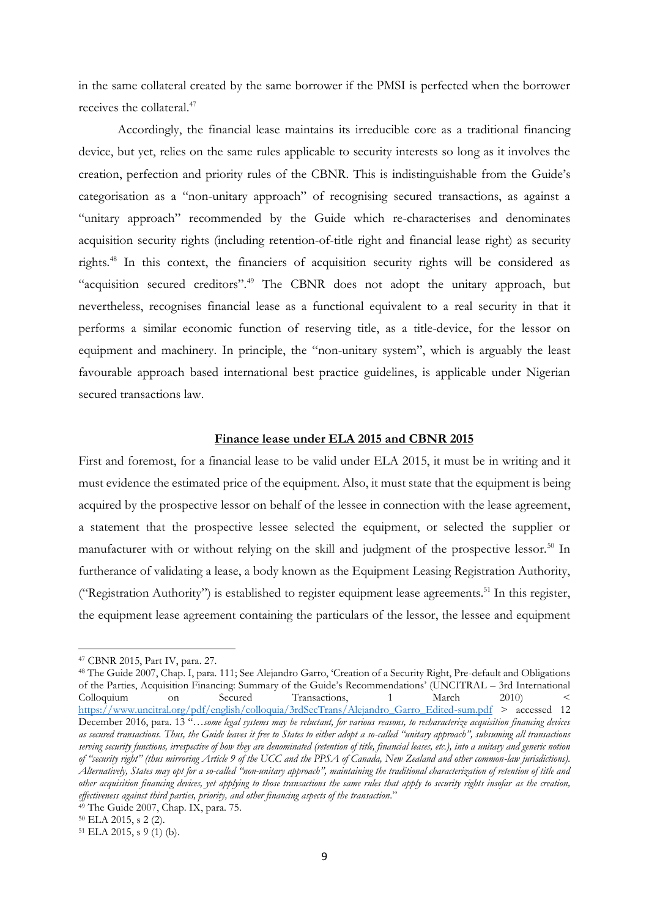in the same collateral created by the same borrower if the PMSI is perfected when the borrower receives the collateral.<sup>47</sup>

Accordingly, the financial lease maintains its irreducible core as a traditional financing device, but yet, relies on the same rules applicable to security interests so long as it involves the creation, perfection and priority rules of the CBNR. This is indistinguishable from the Guide's categorisation as a "non-unitary approach" of recognising secured transactions, as against a "unitary approach" recommended by the Guide which re-characterises and denominates acquisition security rights (including retention-of-title right and financial lease right) as security rights. <sup>48</sup> In this context, the financiers of acquisition security rights will be considered as "acquisition secured creditors".<sup>49</sup> The CBNR does not adopt the unitary approach, but nevertheless, recognises financial lease as a functional equivalent to a real security in that it performs a similar economic function of reserving title, as a title-device, for the lessor on equipment and machinery. In principle, the "non-unitary system", which is arguably the least favourable approach based international best practice guidelines, is applicable under Nigerian secured transactions law.

#### **Finance lease under ELA 2015 and CBNR 2015**

First and foremost, for a financial lease to be valid under ELA 2015, it must be in writing and it must evidence the estimated price of the equipment. Also, it must state that the equipment is being acquired by the prospective lessor on behalf of the lessee in connection with the lease agreement, a statement that the prospective lessee selected the equipment, or selected the supplier or manufacturer with or without relying on the skill and judgment of the prospective lessor.<sup>50</sup> In furtherance of validating a lease, a body known as the Equipment Leasing Registration Authority, ("Registration Authority") is established to register equipment lease agreements.<sup>51</sup> In this register, the equipment lease agreement containing the particulars of the lessor, the lessee and equipment

<sup>47</sup> CBNR 2015, Part IV, para. 27.

<sup>48</sup> The Guide 2007, Chap. I, para. 111; See Alejandro Garro, 'Creation of a Security Right, Pre-default and Obligations of the Parties, Acquisition Financing: Summary of the Guide's Recommendations' (UNCITRAL – 3rd International Colloquium on Secured Transactions, 1 March 2010) < [https://www.uncitral.org/pdf/english/colloquia/3rdSecTrans/Alejandro\\_Garro\\_Edited-sum.pdf](https://www.uncitral.org/pdf/english/colloquia/3rdSecTrans/Alejandro_Garro_Edited-sum.pdf) > accessed 12 December 2016, para. 13 "…*some legal systems may be reluctant, for various reasons, to recharacterize acquisition financing devices as secured transactions. Thus, the Guide leaves it free to States to either adopt a so-called "unitary approach", subsuming all transactions serving security functions, irrespective of how they are denominated (retention of title, financial leases, etc.), into a unitary and generic notion of "security right" (thus mirroring Article 9 of the UCC and the PPSA of Canada, New Zealand and other common-law jurisdictions). Alternatively, States may opt for a so-called "non-unitary approach", maintaining the traditional characterization of retention of title and other acquisition financing devices, yet applying to those transactions the same rules that apply to security rights insofar as the creation, effectiveness against third parties, priority, and other financing aspects of the transaction*."

 $49$  The Guide 2007, Chap. IX, para. 75.

<sup>50</sup> ELA 2015, s 2 (2).

 $51$  ELA 2015, s 9 (1) (b).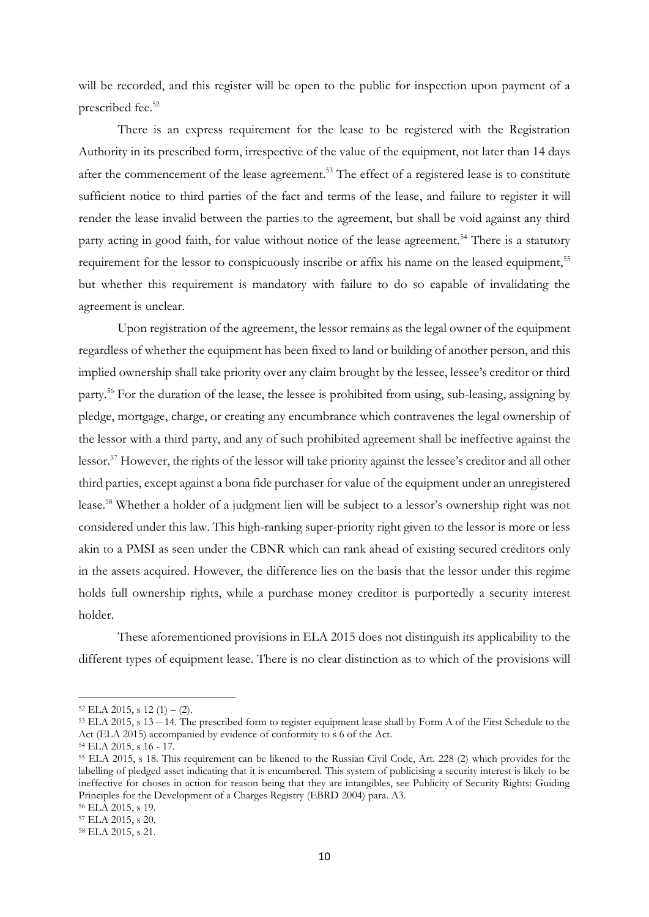will be recorded, and this register will be open to the public for inspection upon payment of a prescribed fee.<sup>52</sup>

There is an express requirement for the lease to be registered with the Registration Authority in its prescribed form, irrespective of the value of the equipment, not later than 14 days after the commencement of the lease agreement.<sup>53</sup> The effect of a registered lease is to constitute sufficient notice to third parties of the fact and terms of the lease, and failure to register it will render the lease invalid between the parties to the agreement, but shall be void against any third party acting in good faith, for value without notice of the lease agreement.<sup>54</sup> There is a statutory requirement for the lessor to conspicuously inscribe or affix his name on the leased equipment,<sup>55</sup> but whether this requirement is mandatory with failure to do so capable of invalidating the agreement is unclear.

Upon registration of the agreement, the lessor remains as the legal owner of the equipment regardless of whether the equipment has been fixed to land or building of another person, and this implied ownership shall take priority over any claim brought by the lessee, lessee's creditor or third party.<sup>56</sup> For the duration of the lease, the lessee is prohibited from using, sub-leasing, assigning by pledge, mortgage, charge, or creating any encumbrance which contravenes the legal ownership of the lessor with a third party, and any of such prohibited agreement shall be ineffective against the lessor.<sup>57</sup> However, the rights of the lessor will take priority against the lessee's creditor and all other third parties, except against a bona fide purchaser for value of the equipment under an unregistered lease.<sup>58</sup> Whether a holder of a judgment lien will be subject to a lessor's ownership right was not considered under this law. This high-ranking super-priority right given to the lessor is more or less akin to a PMSI as seen under the CBNR which can rank ahead of existing secured creditors only in the assets acquired. However, the difference lies on the basis that the lessor under this regime holds full ownership rights, while a purchase money creditor is purportedly a security interest holder.

These aforementioned provisions in ELA 2015 does not distinguish its applicability to the different types of equipment lease. There is no clear distinction as to which of the provisions will

 $52$  ELA 2015, s 12 (1) – (2).

<sup>53</sup> ELA 2015, s 13 – 14. The prescribed form to register equipment lease shall by Form A of the First Schedule to the Act (ELA 2015) accompanied by evidence of conformity to s 6 of the Act.

<sup>54</sup> ELA 2015, s 16 - 17.

<sup>55</sup> ELA 2015, s 18. This requirement can be likened to the Russian Civil Code, Art. 228 (2) which provides for the labelling of pledged asset indicating that it is encumbered. This system of publicising a security interest is likely to be ineffective for choses in action for reason being that they are intangibles, see Publicity of Security Rights: Guiding Principles for the Development of a Charges Registry (EBRD 2004) para. A3.

<sup>56</sup> ELA 2015, s 19.

<sup>57</sup> ELA 2015, s 20.

<sup>58</sup> ELA 2015, s 21.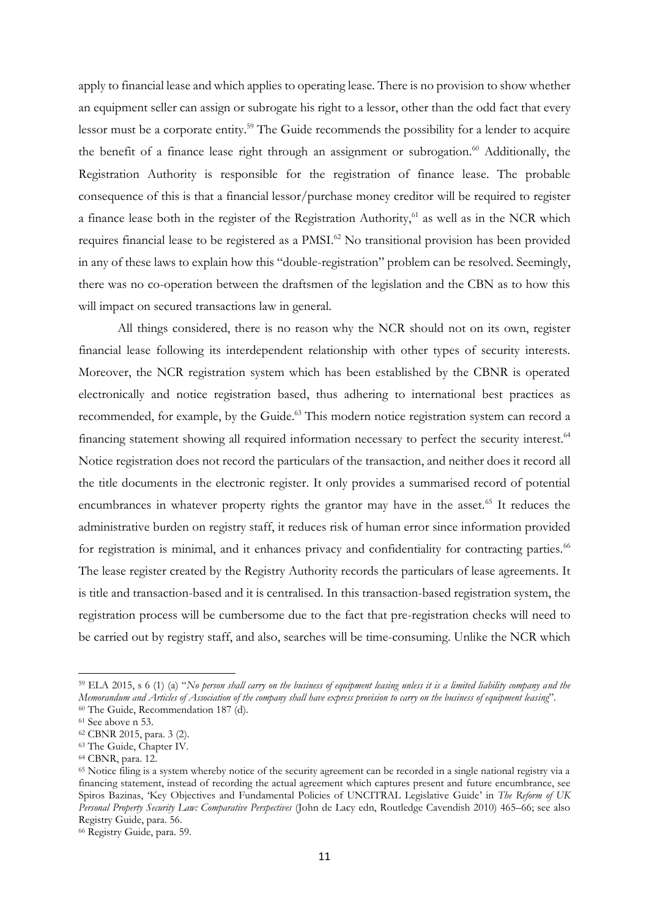apply to financial lease and which applies to operating lease. There is no provision to show whether an equipment seller can assign or subrogate his right to a lessor, other than the odd fact that every lessor must be a corporate entity.<sup>59</sup> The Guide recommends the possibility for a lender to acquire the benefit of a finance lease right through an assignment or subrogation. $60$  Additionally, the Registration Authority is responsible for the registration of finance lease. The probable consequence of this is that a financial lessor/purchase money creditor will be required to register a finance lease both in the register of the Registration Authority, $61$  as well as in the NCR which requires financial lease to be registered as a PMSI.<sup>62</sup> No transitional provision has been provided in any of these laws to explain how this "double-registration" problem can be resolved. Seemingly, there was no co-operation between the draftsmen of the legislation and the CBN as to how this will impact on secured transactions law in general.

All things considered, there is no reason why the NCR should not on its own, register financial lease following its interdependent relationship with other types of security interests. Moreover, the NCR registration system which has been established by the CBNR is operated electronically and notice registration based, thus adhering to international best practices as recommended, for example, by the Guide.<sup>63</sup> This modern notice registration system can record a financing statement showing all required information necessary to perfect the security interest.<sup>64</sup> Notice registration does not record the particulars of the transaction, and neither does it record all the title documents in the electronic register. It only provides a summarised record of potential encumbrances in whatever property rights the grantor may have in the asset.<sup>65</sup> It reduces the administrative burden on registry staff, it reduces risk of human error since information provided for registration is minimal, and it enhances privacy and confidentiality for contracting parties.<sup>66</sup> The lease register created by the Registry Authority records the particulars of lease agreements. It is title and transaction-based and it is centralised. In this transaction-based registration system, the registration process will be cumbersome due to the fact that pre-registration checks will need to be carried out by registry staff, and also, searches will be time-consuming. Unlike the NCR which

1

<sup>66</sup> Registry Guide, para. 59.

<sup>59</sup> ELA 2015, s 6 (1) (a) "*No person shall carry on the business of equipment leasing unless it is a limited liability company and the Memorandum and Articles of Association of the company shall have express provision to carry on the business of equipment leasing*". <sup>60</sup> The Guide, Recommendation 187 (d).

<sup>61</sup> See above n 53.

<sup>62</sup> CBNR 2015, para. 3 (2).

<sup>&</sup>lt;sup>63</sup> The Guide, Chapter IV.

<sup>64</sup> CBNR, para. 12.

<sup>&</sup>lt;sup>65</sup> Notice filing is a system whereby notice of the security agreement can be recorded in a single national registry via a financing statement, instead of recording the actual agreement which captures present and future encumbrance, see Spiros Bazinas, 'Key Objectives and Fundamental Policies of UNCITRAL Legislative Guide' in *The Reform of UK Personal Property Security Law: Comparative Perspectives* (John de Lacy edn, Routledge Cavendish 2010) 465–66; see also Registry Guide, para. 56.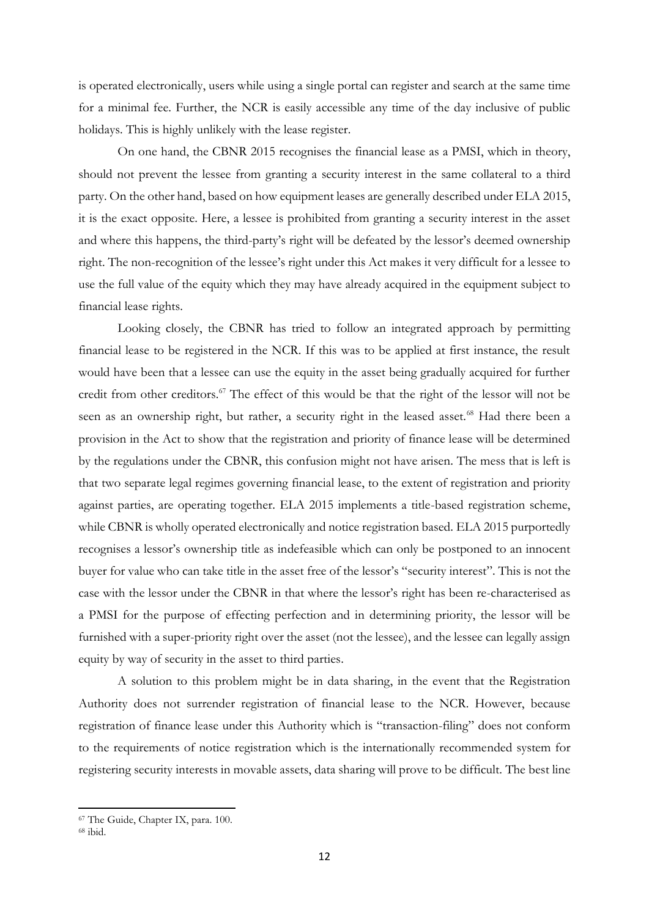is operated electronically, users while using a single portal can register and search at the same time for a minimal fee. Further, the NCR is easily accessible any time of the day inclusive of public holidays. This is highly unlikely with the lease register.

On one hand, the CBNR 2015 recognises the financial lease as a PMSI, which in theory, should not prevent the lessee from granting a security interest in the same collateral to a third party. On the other hand, based on how equipment leases are generally described under ELA 2015, it is the exact opposite. Here, a lessee is prohibited from granting a security interest in the asset and where this happens, the third-party's right will be defeated by the lessor's deemed ownership right. The non-recognition of the lessee's right under this Act makes it very difficult for a lessee to use the full value of the equity which they may have already acquired in the equipment subject to financial lease rights.

Looking closely, the CBNR has tried to follow an integrated approach by permitting financial lease to be registered in the NCR. If this was to be applied at first instance, the result would have been that a lessee can use the equity in the asset being gradually acquired for further credit from other creditors.<sup>67</sup> The effect of this would be that the right of the lessor will not be seen as an ownership right, but rather, a security right in the leased asset.<sup>68</sup> Had there been a provision in the Act to show that the registration and priority of finance lease will be determined by the regulations under the CBNR, this confusion might not have arisen. The mess that is left is that two separate legal regimes governing financial lease, to the extent of registration and priority against parties, are operating together. ELA 2015 implements a title-based registration scheme, while CBNR is wholly operated electronically and notice registration based. ELA 2015 purportedly recognises a lessor's ownership title as indefeasible which can only be postponed to an innocent buyer for value who can take title in the asset free of the lessor's "security interest". This is not the case with the lessor under the CBNR in that where the lessor's right has been re-characterised as a PMSI for the purpose of effecting perfection and in determining priority, the lessor will be furnished with a super-priority right over the asset (not the lessee), and the lessee can legally assign equity by way of security in the asset to third parties.

A solution to this problem might be in data sharing, in the event that the Registration Authority does not surrender registration of financial lease to the NCR. However, because registration of finance lease under this Authority which is "transaction-filing" does not conform to the requirements of notice registration which is the internationally recommended system for registering security interests in movable assets, data sharing will prove to be difficult. The best line

<sup>67</sup> The Guide, Chapter IX, para. 100.

 $68$  ibid.